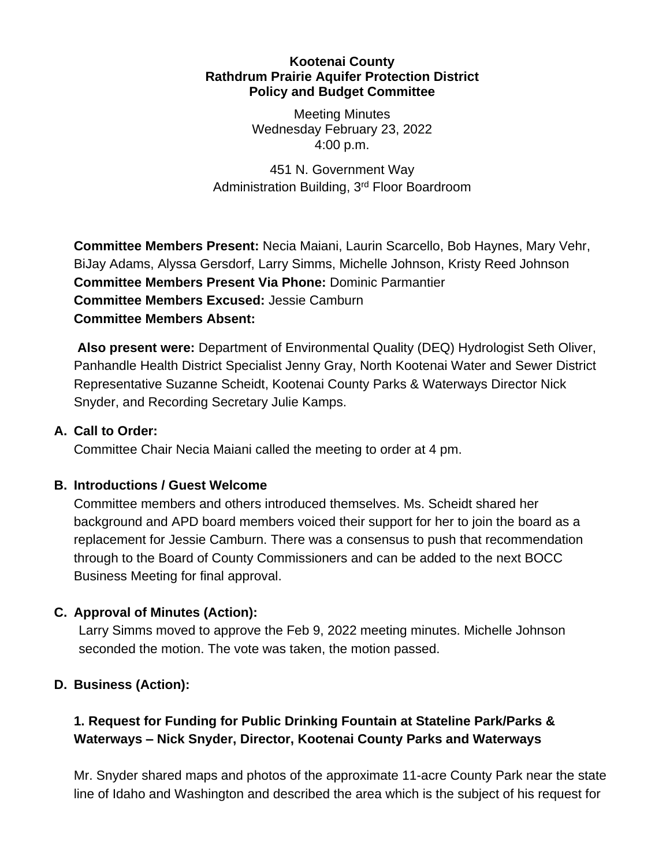#### **Kootenai County Rathdrum Prairie Aquifer Protection District Policy and Budget Committee**

Meeting Minutes Wednesday February 23, 2022 4:00 p.m.

451 N. Government Way Administration Building, 3rd Floor Boardroom

**Committee Members Present:** Necia Maiani, Laurin Scarcello, Bob Haynes, Mary Vehr, BiJay Adams, Alyssa Gersdorf, Larry Simms, Michelle Johnson, Kristy Reed Johnson **Committee Members Present Via Phone:** Dominic Parmantier **Committee Members Excused:** Jessie Camburn **Committee Members Absent:**

**Also present were:** Department of Environmental Quality (DEQ) Hydrologist Seth Oliver, Panhandle Health District Specialist Jenny Gray, North Kootenai Water and Sewer District Representative Suzanne Scheidt, Kootenai County Parks & Waterways Director Nick Snyder, and Recording Secretary Julie Kamps.

### **A. Call to Order:**

Committee Chair Necia Maiani called the meeting to order at 4 pm.

## **B. Introductions / Guest Welcome**

Committee members and others introduced themselves. Ms. Scheidt shared her background and APD board members voiced their support for her to join the board as a replacement for Jessie Camburn. There was a consensus to push that recommendation through to the Board of County Commissioners and can be added to the next BOCC Business Meeting for final approval.

## **C. Approval of Minutes (Action):**

Larry Simms moved to approve the Feb 9, 2022 meeting minutes. Michelle Johnson seconded the motion. The vote was taken, the motion passed.

## **D. Business (Action):**

# **1. Request for Funding for Public Drinking Fountain at Stateline Park/Parks & Waterways – Nick Snyder, Director, Kootenai County Parks and Waterways**

Mr. Snyder shared maps and photos of the approximate 11-acre County Park near the state line of Idaho and Washington and described the area which is the subject of his request for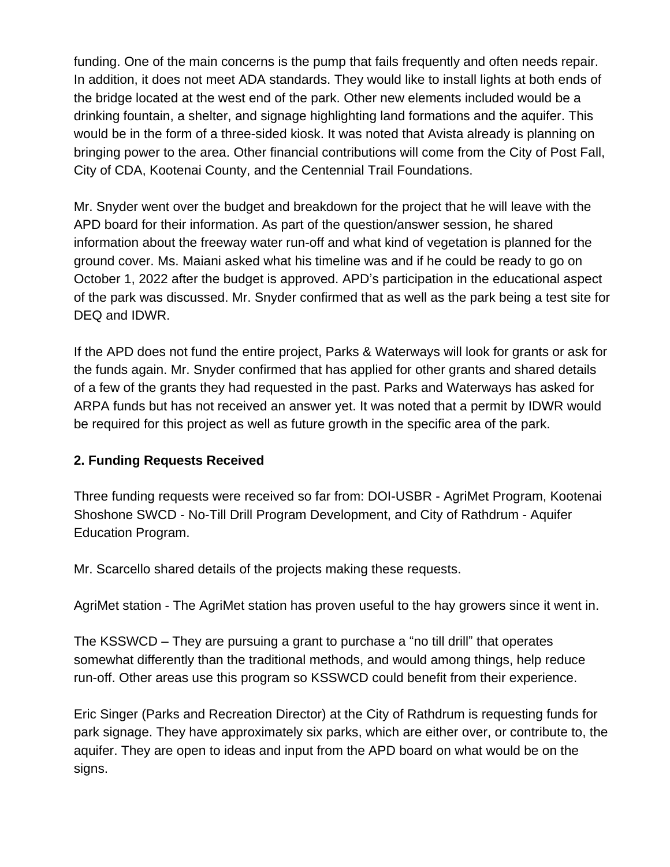funding. One of the main concerns is the pump that fails frequently and often needs repair. In addition, it does not meet ADA standards. They would like to install lights at both ends of the bridge located at the west end of the park. Other new elements included would be a drinking fountain, a shelter, and signage highlighting land formations and the aquifer. This would be in the form of a three-sided kiosk. It was noted that Avista already is planning on bringing power to the area. Other financial contributions will come from the City of Post Fall, City of CDA, Kootenai County, and the Centennial Trail Foundations.

Mr. Snyder went over the budget and breakdown for the project that he will leave with the APD board for their information. As part of the question/answer session, he shared information about the freeway water run-off and what kind of vegetation is planned for the ground cover. Ms. Maiani asked what his timeline was and if he could be ready to go on October 1, 2022 after the budget is approved. APD's participation in the educational aspect of the park was discussed. Mr. Snyder confirmed that as well as the park being a test site for DEQ and IDWR.

If the APD does not fund the entire project, Parks & Waterways will look for grants or ask for the funds again. Mr. Snyder confirmed that has applied for other grants and shared details of a few of the grants they had requested in the past. Parks and Waterways has asked for ARPA funds but has not received an answer yet. It was noted that a permit by IDWR would be required for this project as well as future growth in the specific area of the park.

### **2. Funding Requests Received**

Three funding requests were received so far from: DOI-USBR - AgriMet Program, Kootenai Shoshone SWCD - No-Till Drill Program Development, and City of Rathdrum - Aquifer Education Program.

Mr. Scarcello shared details of the projects making these requests.

AgriMet station - The AgriMet station has proven useful to the hay growers since it went in.

The KSSWCD – They are pursuing a grant to purchase a "no till drill" that operates somewhat differently than the traditional methods, and would among things, help reduce run-off. Other areas use this program so KSSWCD could benefit from their experience.

Eric Singer (Parks and Recreation Director) at the City of Rathdrum is requesting funds for park signage. They have approximately six parks, which are either over, or contribute to, the aquifer. They are open to ideas and input from the APD board on what would be on the signs.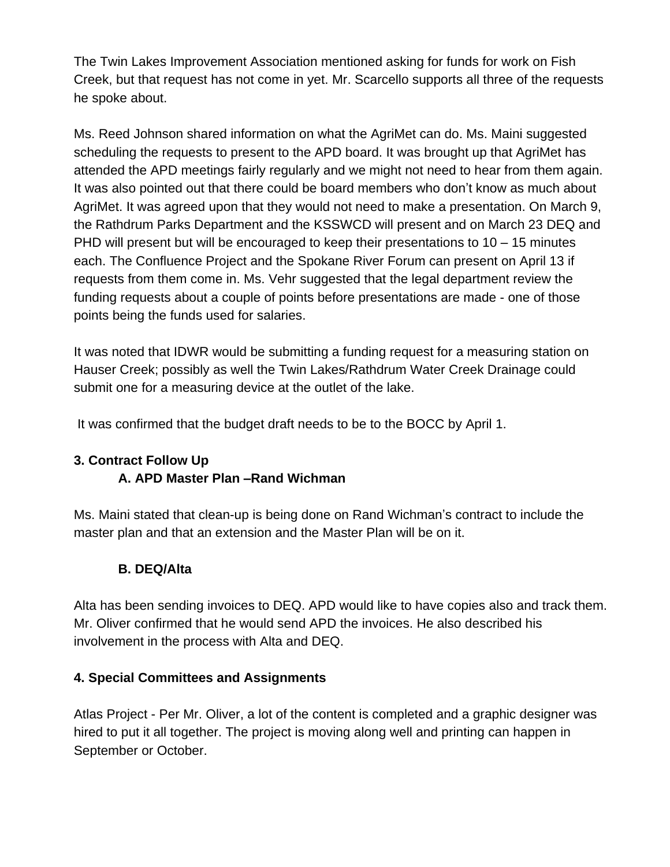The Twin Lakes Improvement Association mentioned asking for funds for work on Fish Creek, but that request has not come in yet. Mr. Scarcello supports all three of the requests he spoke about.

Ms. Reed Johnson shared information on what the AgriMet can do. Ms. Maini suggested scheduling the requests to present to the APD board. It was brought up that AgriMet has attended the APD meetings fairly regularly and we might not need to hear from them again. It was also pointed out that there could be board members who don't know as much about AgriMet. It was agreed upon that they would not need to make a presentation. On March 9, the Rathdrum Parks Department and the KSSWCD will present and on March 23 DEQ and PHD will present but will be encouraged to keep their presentations to  $10 - 15$  minutes each. The Confluence Project and the Spokane River Forum can present on April 13 if requests from them come in. Ms. Vehr suggested that the legal department review the funding requests about a couple of points before presentations are made - one of those points being the funds used for salaries.

It was noted that IDWR would be submitting a funding request for a measuring station on Hauser Creek; possibly as well the Twin Lakes/Rathdrum Water Creek Drainage could submit one for a measuring device at the outlet of the lake.

It was confirmed that the budget draft needs to be to the BOCC by April 1.

#### **3. Contract Follow Up A. APD Master Plan –Rand Wichman**

Ms. Maini stated that clean-up is being done on Rand Wichman's contract to include the master plan and that an extension and the Master Plan will be on it.

## **B. DEQ/Alta**

Alta has been sending invoices to DEQ. APD would like to have copies also and track them. Mr. Oliver confirmed that he would send APD the invoices. He also described his involvement in the process with Alta and DEQ.

### **4. Special Committees and Assignments**

Atlas Project - Per Mr. Oliver, a lot of the content is completed and a graphic designer was hired to put it all together. The project is moving along well and printing can happen in September or October.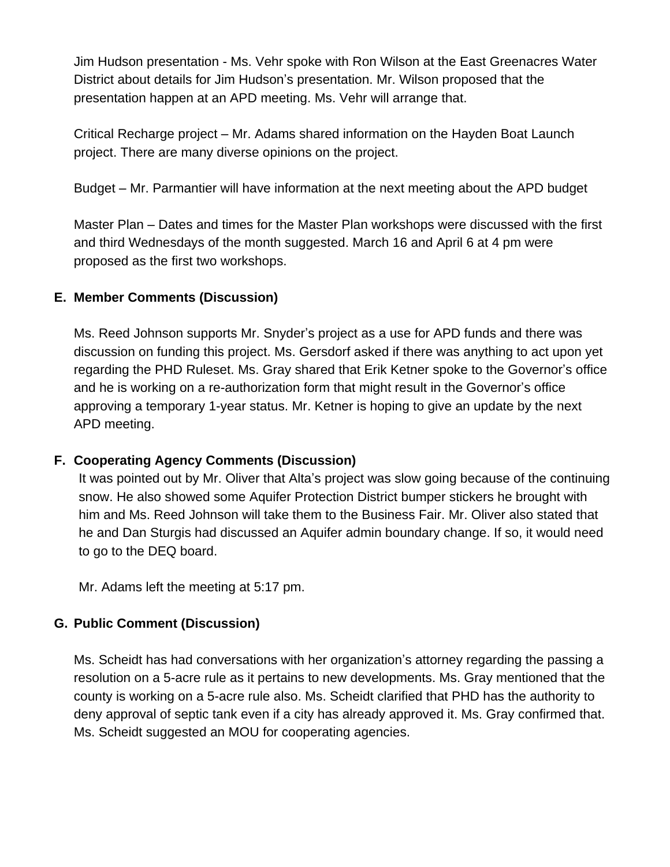Jim Hudson presentation - Ms. Vehr spoke with Ron Wilson at the East Greenacres Water District about details for Jim Hudson's presentation. Mr. Wilson proposed that the presentation happen at an APD meeting. Ms. Vehr will arrange that.

Critical Recharge project – Mr. Adams shared information on the Hayden Boat Launch project. There are many diverse opinions on the project.

Budget – Mr. Parmantier will have information at the next meeting about the APD budget

Master Plan – Dates and times for the Master Plan workshops were discussed with the first and third Wednesdays of the month suggested. March 16 and April 6 at 4 pm were proposed as the first two workshops.

## **E. Member Comments (Discussion)**

Ms. Reed Johnson supports Mr. Snyder's project as a use for APD funds and there was discussion on funding this project. Ms. Gersdorf asked if there was anything to act upon yet regarding the PHD Ruleset. Ms. Gray shared that Erik Ketner spoke to the Governor's office and he is working on a re-authorization form that might result in the Governor's office approving a temporary 1-year status. Mr. Ketner is hoping to give an update by the next APD meeting.

### **F. Cooperating Agency Comments (Discussion)**

It was pointed out by Mr. Oliver that Alta's project was slow going because of the continuing snow. He also showed some Aquifer Protection District bumper stickers he brought with him and Ms. Reed Johnson will take them to the Business Fair. Mr. Oliver also stated that he and Dan Sturgis had discussed an Aquifer admin boundary change. If so, it would need to go to the DEQ board.

Mr. Adams left the meeting at 5:17 pm.

## **G. Public Comment (Discussion)**

Ms. Scheidt has had conversations with her organization's attorney regarding the passing a resolution on a 5-acre rule as it pertains to new developments. Ms. Gray mentioned that the county is working on a 5-acre rule also. Ms. Scheidt clarified that PHD has the authority to deny approval of septic tank even if a city has already approved it. Ms. Gray confirmed that. Ms. Scheidt suggested an MOU for cooperating agencies.